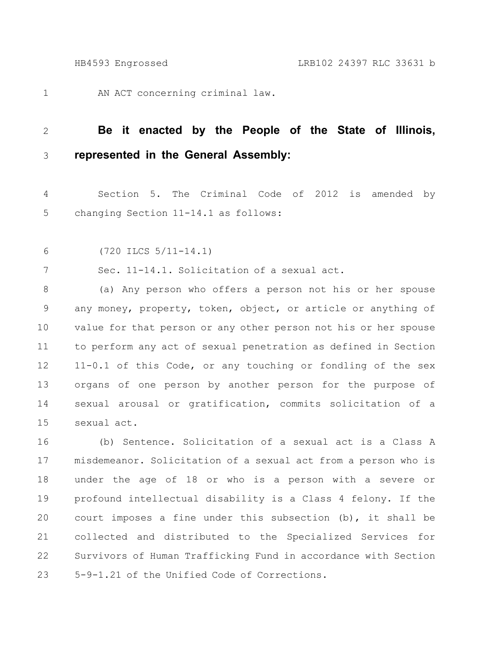AN ACT concerning criminal law. 1

## **Be it enacted by the People of the State of Illinois, represented in the General Assembly:** 2 3

Section 5. The Criminal Code of 2012 is amended by changing Section 11-14.1 as follows: 4 5

(720 ILCS 5/11-14.1) 6

Sec. 11-14.1. Solicitation of a sexual act. 7

(a) Any person who offers a person not his or her spouse any money, property, token, object, or article or anything of value for that person or any other person not his or her spouse to perform any act of sexual penetration as defined in Section 11-0.1 of this Code, or any touching or fondling of the sex organs of one person by another person for the purpose of sexual arousal or gratification, commits solicitation of a sexual act. 8 9 10 11 12 13 14 15

(b) Sentence. Solicitation of a sexual act is a Class A misdemeanor. Solicitation of a sexual act from a person who is under the age of 18 or who is a person with a severe or profound intellectual disability is a Class 4 felony. If the court imposes a fine under this subsection (b), it shall be collected and distributed to the Specialized Services for Survivors of Human Trafficking Fund in accordance with Section 5-9-1.21 of the Unified Code of Corrections. 16 17 18 19 20 21 22 23